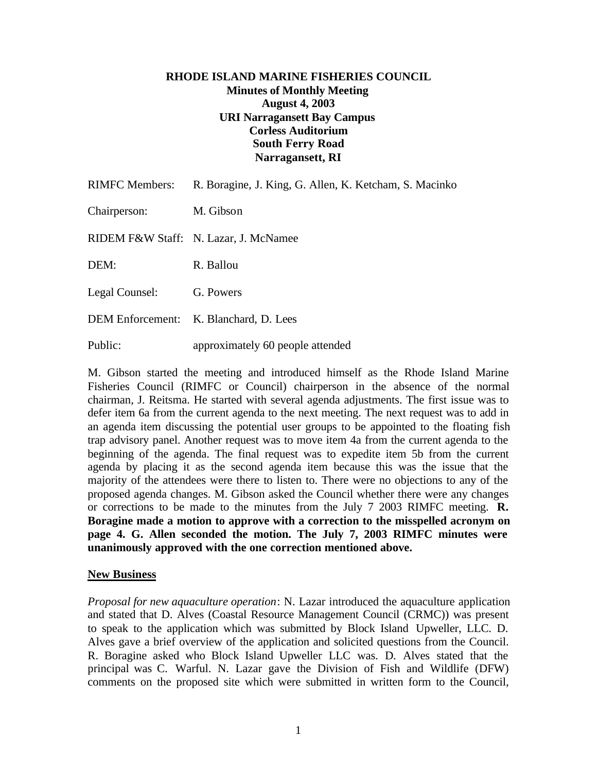## **RHODE ISLAND MARINE FISHERIES COUNCIL Minutes of Monthly Meeting August 4, 2003 URI Narragansett Bay Campus Corless Auditorium South Ferry Road Narragansett, RI**

| <b>RIMFC Members:</b> | R. Boragine, J. King, G. Allen, K. Ketcham, S. Macinko |
|-----------------------|--------------------------------------------------------|
| Chairperson:          | M. Gibson                                              |
|                       | RIDEM F&W Staff: N. Lazar, J. McNamee                  |
| DEM:                  | R. Ballou                                              |
| Legal Counsel:        | G. Powers                                              |
|                       | DEM Enforcement: K. Blanchard, D. Lees                 |
| Public:               | approximately 60 people attended                       |

M. Gibson started the meeting and introduced himself as the Rhode Island Marine Fisheries Council (RIMFC or Council) chairperson in the absence of the normal chairman, J. Reitsma. He started with several agenda adjustments. The first issue was to defer item 6a from the current agenda to the next meeting. The next request was to add in an agenda item discussing the potential user groups to be appointed to the floating fish trap advisory panel. Another request was to move item 4a from the current agenda to the beginning of the agenda. The final request was to expedite item 5b from the current agenda by placing it as the second agenda item because this was the issue that the majority of the attendees were there to listen to. There were no objections to any of the proposed agenda changes. M. Gibson asked the Council whether there were any changes or corrections to be made to the minutes from the July 7 2003 RIMFC meeting. **R. Boragine made a motion to approve with a correction to the misspelled acronym on page 4. G. Allen seconded the motion. The July 7, 2003 RIMFC minutes were unanimously approved with the one correction mentioned above.**

## **New Business**

*Proposal for new aquaculture operation*: N. Lazar introduced the aquaculture application and stated that D. Alves (Coastal Resource Management Council (CRMC)) was present to speak to the application which was submitted by Block Island Upweller, LLC. D. Alves gave a brief overview of the application and solicited questions from the Council. R. Boragine asked who Block Island Upweller LLC was. D. Alves stated that the principal was C. Warful. N. Lazar gave the Division of Fish and Wildlife (DFW) comments on the proposed site which were submitted in written form to the Council,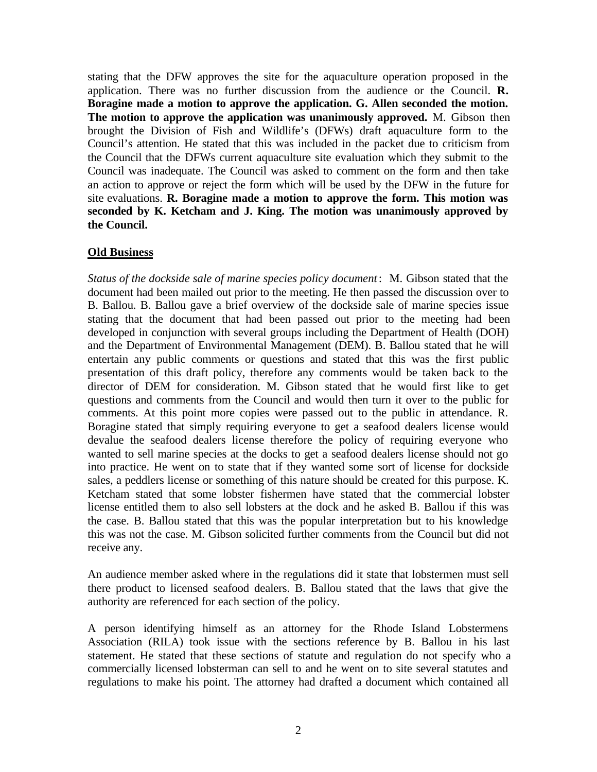stating that the DFW approves the site for the aquaculture operation proposed in the application. There was no further discussion from the audience or the Council. **R. Boragine made a motion to approve the application. G. Allen seconded the motion. The motion to approve the application was unanimously approved.** M. Gibson then brought the Division of Fish and Wildlife's (DFWs) draft aquaculture form to the Council's attention. He stated that this was included in the packet due to criticism from the Council that the DFWs current aquaculture site evaluation which they submit to the Council was inadequate. The Council was asked to comment on the form and then take an action to approve or reject the form which will be used by the DFW in the future for site evaluations. **R. Boragine made a motion to approve the form. This motion was seconded by K. Ketcham and J. King. The motion was unanimously approved by the Council.**

## **Old Business**

*Status of the dockside sale of marine species policy document*: M. Gibson stated that the document had been mailed out prior to the meeting. He then passed the discussion over to B. Ballou. B. Ballou gave a brief overview of the dockside sale of marine species issue stating that the document that had been passed out prior to the meeting had been developed in conjunction with several groups including the Department of Health (DOH) and the Department of Environmental Management (DEM). B. Ballou stated that he will entertain any public comments or questions and stated that this was the first public presentation of this draft policy, therefore any comments would be taken back to the director of DEM for consideration. M. Gibson stated that he would first like to get questions and comments from the Council and would then turn it over to the public for comments. At this point more copies were passed out to the public in attendance. R. Boragine stated that simply requiring everyone to get a seafood dealers license would devalue the seafood dealers license therefore the policy of requiring everyone who wanted to sell marine species at the docks to get a seafood dealers license should not go into practice. He went on to state that if they wanted some sort of license for dockside sales, a peddlers license or something of this nature should be created for this purpose. K. Ketcham stated that some lobster fishermen have stated that the commercial lobster license entitled them to also sell lobsters at the dock and he asked B. Ballou if this was the case. B. Ballou stated that this was the popular interpretation but to his knowledge this was not the case. M. Gibson solicited further comments from the Council but did not receive any.

An audience member asked where in the regulations did it state that lobstermen must sell there product to licensed seafood dealers. B. Ballou stated that the laws that give the authority are referenced for each section of the policy.

A person identifying himself as an attorney for the Rhode Island Lobstermens Association (RILA) took issue with the sections reference by B. Ballou in his last statement. He stated that these sections of statute and regulation do not specify who a commercially licensed lobsterman can sell to and he went on to site several statutes and regulations to make his point. The attorney had drafted a document which contained all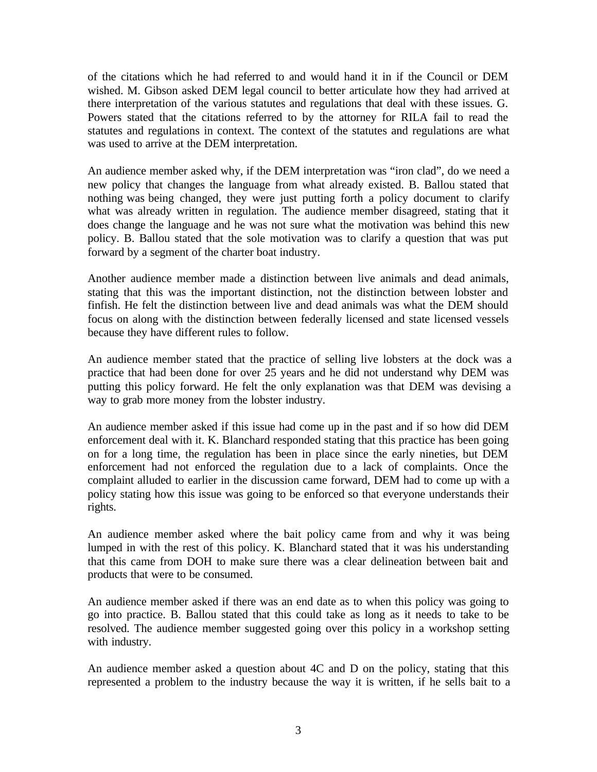of the citations which he had referred to and would hand it in if the Council or DEM wished. M. Gibson asked DEM legal council to better articulate how they had arrived at there interpretation of the various statutes and regulations that deal with these issues. G. Powers stated that the citations referred to by the attorney for RILA fail to read the statutes and regulations in context. The context of the statutes and regulations are what was used to arrive at the DEM interpretation.

An audience member asked why, if the DEM interpretation was "iron clad", do we need a new policy that changes the language from what already existed. B. Ballou stated that nothing was being changed, they were just putting forth a policy document to clarify what was already written in regulation. The audience member disagreed, stating that it does change the language and he was not sure what the motivation was behind this new policy. B. Ballou stated that the sole motivation was to clarify a question that was put forward by a segment of the charter boat industry.

Another audience member made a distinction between live animals and dead animals, stating that this was the important distinction, not the distinction between lobster and finfish. He felt the distinction between live and dead animals was what the DEM should focus on along with the distinction between federally licensed and state licensed vessels because they have different rules to follow.

An audience member stated that the practice of selling live lobsters at the dock was a practice that had been done for over 25 years and he did not understand why DEM was putting this policy forward. He felt the only explanation was that DEM was devising a way to grab more money from the lobster industry.

An audience member asked if this issue had come up in the past and if so how did DEM enforcement deal with it. K. Blanchard responded stating that this practice has been going on for a long time, the regulation has been in place since the early nineties, but DEM enforcement had not enforced the regulation due to a lack of complaints. Once the complaint alluded to earlier in the discussion came forward, DEM had to come up with a policy stating how this issue was going to be enforced so that everyone understands their rights.

An audience member asked where the bait policy came from and why it was being lumped in with the rest of this policy. K. Blanchard stated that it was his understanding that this came from DOH to make sure there was a clear delineation between bait and products that were to be consumed.

An audience member asked if there was an end date as to when this policy was going to go into practice. B. Ballou stated that this could take as long as it needs to take to be resolved. The audience member suggested going over this policy in a workshop setting with industry.

An audience member asked a question about 4C and D on the policy, stating that this represented a problem to the industry because the way it is written, if he sells bait to a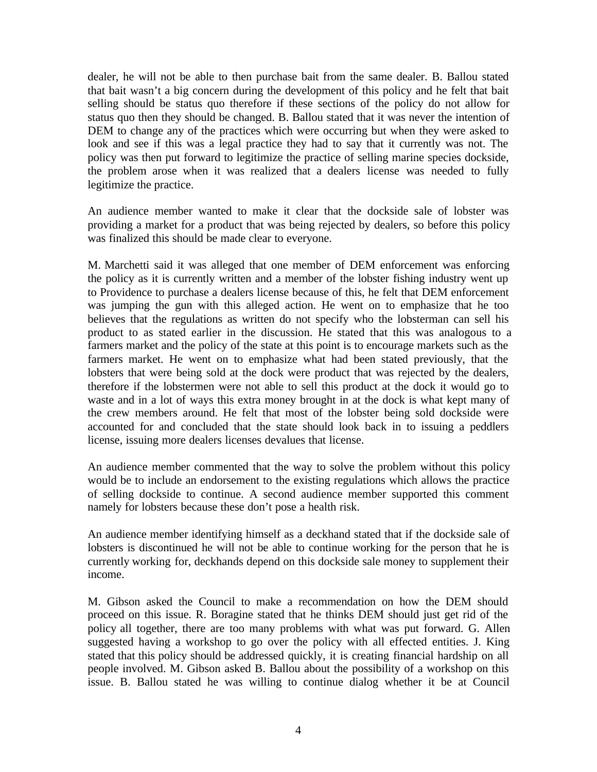dealer, he will not be able to then purchase bait from the same dealer. B. Ballou stated that bait wasn't a big concern during the development of this policy and he felt that bait selling should be status quo therefore if these sections of the policy do not allow for status quo then they should be changed. B. Ballou stated that it was never the intention of DEM to change any of the practices which were occurring but when they were asked to look and see if this was a legal practice they had to say that it currently was not. The policy was then put forward to legitimize the practice of selling marine species dockside, the problem arose when it was realized that a dealers license was needed to fully legitimize the practice.

An audience member wanted to make it clear that the dockside sale of lobster was providing a market for a product that was being rejected by dealers, so before this policy was finalized this should be made clear to everyone.

M. Marchetti said it was alleged that one member of DEM enforcement was enforcing the policy as it is currently written and a member of the lobster fishing industry went up to Providence to purchase a dealers license because of this, he felt that DEM enforcement was jumping the gun with this alleged action. He went on to emphasize that he too believes that the regulations as written do not specify who the lobsterman can sell his product to as stated earlier in the discussion. He stated that this was analogous to a farmers market and the policy of the state at this point is to encourage markets such as the farmers market. He went on to emphasize what had been stated previously, that the lobsters that were being sold at the dock were product that was rejected by the dealers, therefore if the lobstermen were not able to sell this product at the dock it would go to waste and in a lot of ways this extra money brought in at the dock is what kept many of the crew members around. He felt that most of the lobster being sold dockside were accounted for and concluded that the state should look back in to issuing a peddlers license, issuing more dealers licenses devalues that license.

An audience member commented that the way to solve the problem without this policy would be to include an endorsement to the existing regulations which allows the practice of selling dockside to continue. A second audience member supported this comment namely for lobsters because these don't pose a health risk.

An audience member identifying himself as a deckhand stated that if the dockside sale of lobsters is discontinued he will not be able to continue working for the person that he is currently working for, deckhands depend on this dockside sale money to supplement their income.

M. Gibson asked the Council to make a recommendation on how the DEM should proceed on this issue. R. Boragine stated that he thinks DEM should just get rid of the policy all together, there are too many problems with what was put forward. G. Allen suggested having a workshop to go over the policy with all effected entities. J. King stated that this policy should be addressed quickly, it is creating financial hardship on all people involved. M. Gibson asked B. Ballou about the possibility of a workshop on this issue. B. Ballou stated he was willing to continue dialog whether it be at Council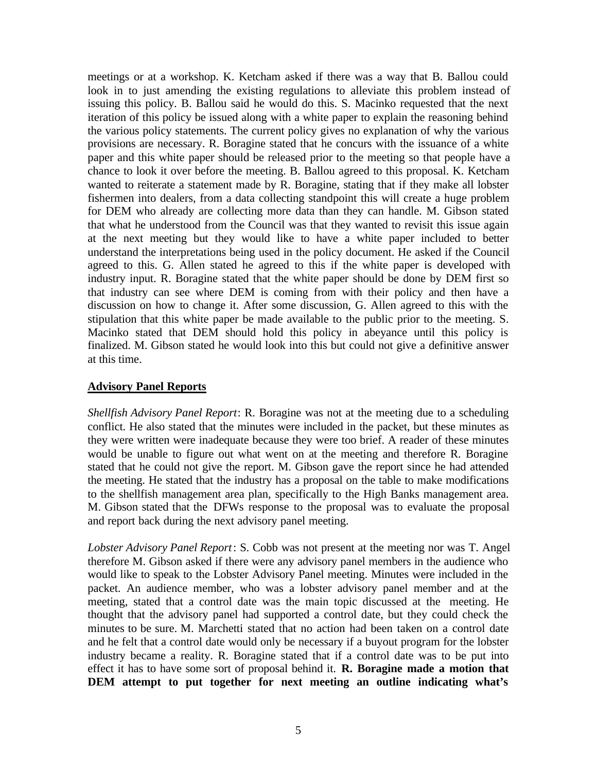meetings or at a workshop. K. Ketcham asked if there was a way that B. Ballou could look in to just amending the existing regulations to alleviate this problem instead of issuing this policy. B. Ballou said he would do this. S. Macinko requested that the next iteration of this policy be issued along with a white paper to explain the reasoning behind the various policy statements. The current policy gives no explanation of why the various provisions are necessary. R. Boragine stated that he concurs with the issuance of a white paper and this white paper should be released prior to the meeting so that people have a chance to look it over before the meeting. B. Ballou agreed to this proposal. K. Ketcham wanted to reiterate a statement made by R. Boragine, stating that if they make all lobster fishermen into dealers, from a data collecting standpoint this will create a huge problem for DEM who already are collecting more data than they can handle. M. Gibson stated that what he understood from the Council was that they wanted to revisit this issue again at the next meeting but they would like to have a white paper included to better understand the interpretations being used in the policy document. He asked if the Council agreed to this. G. Allen stated he agreed to this if the white paper is developed with industry input. R. Boragine stated that the white paper should be done by DEM first so that industry can see where DEM is coming from with their policy and then have a discussion on how to change it. After some discussion, G. Allen agreed to this with the stipulation that this white paper be made available to the public prior to the meeting. S. Macinko stated that DEM should hold this policy in abeyance until this policy is finalized. M. Gibson stated he would look into this but could not give a definitive answer at this time.

#### **Advisory Panel Reports**

*Shellfish Advisory Panel Report*: R. Boragine was not at the meeting due to a scheduling conflict. He also stated that the minutes were included in the packet, but these minutes as they were written were inadequate because they were too brief. A reader of these minutes would be unable to figure out what went on at the meeting and therefore R. Boragine stated that he could not give the report. M. Gibson gave the report since he had attended the meeting. He stated that the industry has a proposal on the table to make modifications to the shellfish management area plan, specifically to the High Banks management area. M. Gibson stated that the DFWs response to the proposal was to evaluate the proposal and report back during the next advisory panel meeting.

*Lobster Advisory Panel Report*: S. Cobb was not present at the meeting nor was T. Angel therefore M. Gibson asked if there were any advisory panel members in the audience who would like to speak to the Lobster Advisory Panel meeting. Minutes were included in the packet. An audience member, who was a lobster advisory panel member and at the meeting, stated that a control date was the main topic discussed at the meeting. He thought that the advisory panel had supported a control date, but they could check the minutes to be sure. M. Marchetti stated that no action had been taken on a control date and he felt that a control date would only be necessary if a buyout program for the lobster industry became a reality. R. Boragine stated that if a control date was to be put into effect it has to have some sort of proposal behind it. **R. Boragine made a motion that DEM attempt to put together for next meeting an outline indicating what's**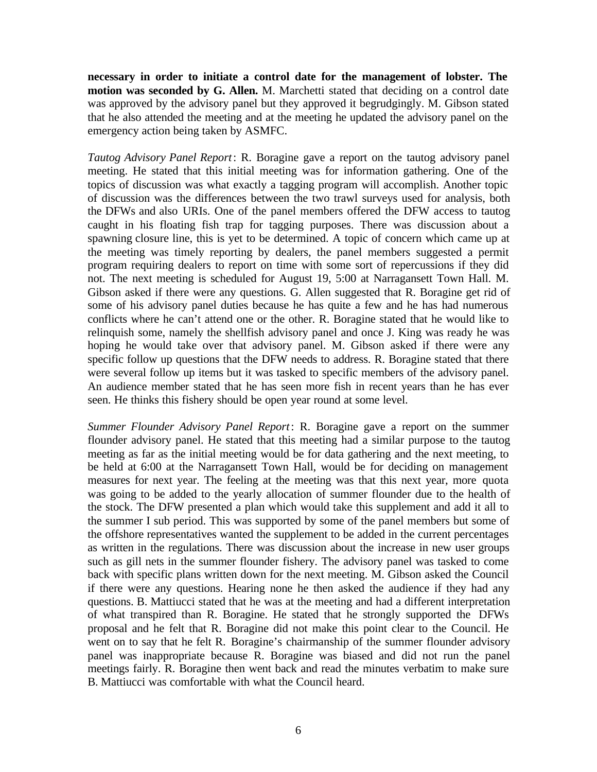**necessary in order to initiate a control date for the management of lobster. The motion was seconded by G. Allen.** M. Marchetti stated that deciding on a control date was approved by the advisory panel but they approved it begrudgingly. M. Gibson stated that he also attended the meeting and at the meeting he updated the advisory panel on the emergency action being taken by ASMFC.

*Tautog Advisory Panel Report*: R. Boragine gave a report on the tautog advisory panel meeting. He stated that this initial meeting was for information gathering. One of the topics of discussion was what exactly a tagging program will accomplish. Another topic of discussion was the differences between the two trawl surveys used for analysis, both the DFWs and also URIs. One of the panel members offered the DFW access to tautog caught in his floating fish trap for tagging purposes. There was discussion about a spawning closure line, this is yet to be determined. A topic of concern which came up at the meeting was timely reporting by dealers, the panel members suggested a permit program requiring dealers to report on time with some sort of repercussions if they did not. The next meeting is scheduled for August 19, 5:00 at Narragansett Town Hall. M. Gibson asked if there were any questions. G. Allen suggested that R. Boragine get rid of some of his advisory panel duties because he has quite a few and he has had numerous conflicts where he can't attend one or the other. R. Boragine stated that he would like to relinquish some, namely the shellfish advisory panel and once J. King was ready he was hoping he would take over that advisory panel. M. Gibson asked if there were any specific follow up questions that the DFW needs to address. R. Boragine stated that there were several follow up items but it was tasked to specific members of the advisory panel. An audience member stated that he has seen more fish in recent years than he has ever seen. He thinks this fishery should be open year round at some level.

*Summer Flounder Advisory Panel Report*: R. Boragine gave a report on the summer flounder advisory panel. He stated that this meeting had a similar purpose to the tautog meeting as far as the initial meeting would be for data gathering and the next meeting, to be held at 6:00 at the Narragansett Town Hall, would be for deciding on management measures for next year. The feeling at the meeting was that this next year, more quota was going to be added to the yearly allocation of summer flounder due to the health of the stock. The DFW presented a plan which would take this supplement and add it all to the summer I sub period. This was supported by some of the panel members but some of the offshore representatives wanted the supplement to be added in the current percentages as written in the regulations. There was discussion about the increase in new user groups such as gill nets in the summer flounder fishery. The advisory panel was tasked to come back with specific plans written down for the next meeting. M. Gibson asked the Council if there were any questions. Hearing none he then asked the audience if they had any questions. B. Mattiucci stated that he was at the meeting and had a different interpretation of what transpired than R. Boragine. He stated that he strongly supported the DFWs proposal and he felt that R. Boragine did not make this point clear to the Council. He went on to say that he felt R. Boragine's chairmanship of the summer flounder advisory panel was inappropriate because R. Boragine was biased and did not run the panel meetings fairly. R. Boragine then went back and read the minutes verbatim to make sure B. Mattiucci was comfortable with what the Council heard.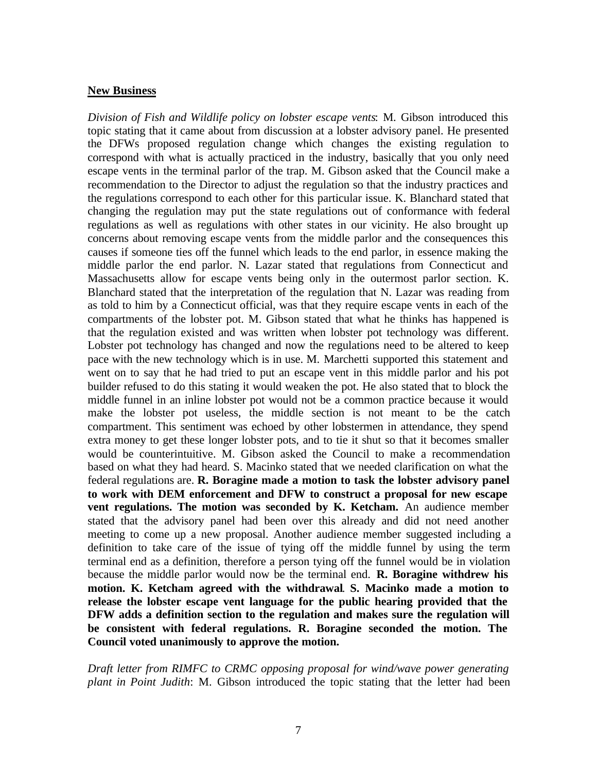#### **New Business**

*Division of Fish and Wildlife policy on lobster escape vents*: M. Gibson introduced this topic stating that it came about from discussion at a lobster advisory panel. He presented the DFWs proposed regulation change which changes the existing regulation to correspond with what is actually practiced in the industry, basically that you only need escape vents in the terminal parlor of the trap. M. Gibson asked that the Council make a recommendation to the Director to adjust the regulation so that the industry practices and the regulations correspond to each other for this particular issue. K. Blanchard stated that changing the regulation may put the state regulations out of conformance with federal regulations as well as regulations with other states in our vicinity. He also brought up concerns about removing escape vents from the middle parlor and the consequences this causes if someone ties off the funnel which leads to the end parlor, in essence making the middle parlor the end parlor. N. Lazar stated that regulations from Connecticut and Massachusetts allow for escape vents being only in the outermost parlor section. K. Blanchard stated that the interpretation of the regulation that N. Lazar was reading from as told to him by a Connecticut official, was that they require escape vents in each of the compartments of the lobster pot. M. Gibson stated that what he thinks has happened is that the regulation existed and was written when lobster pot technology was different. Lobster pot technology has changed and now the regulations need to be altered to keep pace with the new technology which is in use. M. Marchetti supported this statement and went on to say that he had tried to put an escape vent in this middle parlor and his pot builder refused to do this stating it would weaken the pot. He also stated that to block the middle funnel in an inline lobster pot would not be a common practice because it would make the lobster pot useless, the middle section is not meant to be the catch compartment. This sentiment was echoed by other lobstermen in attendance, they spend extra money to get these longer lobster pots, and to tie it shut so that it becomes smaller would be counterintuitive. M. Gibson asked the Council to make a recommendation based on what they had heard. S. Macinko stated that we needed clarification on what the federal regulations are. **R. Boragine made a motion to task the lobster advisory panel to work with DEM enforcement and DFW to construct a proposal for new escape vent regulations. The motion was seconded by K. Ketcham.** An audience member stated that the advisory panel had been over this already and did not need another meeting to come up a new proposal. Another audience member suggested including a definition to take care of the issue of tying off the middle funnel by using the term terminal end as a definition, therefore a person tying off the funnel would be in violation because the middle parlor would now be the terminal end. **R. Boragine withdrew his motion. K. Ketcham agreed with the withdrawal**. **S. Macinko made a motion to release the lobster escape vent language for the public hearing provided that the DFW adds a definition section to the regulation and makes sure the regulation will be consistent with federal regulations. R. Boragine seconded the motion. The Council voted unanimously to approve the motion.**

*Draft letter from RIMFC to CRMC opposing proposal for wind/wave power generating plant in Point Judith*: M. Gibson introduced the topic stating that the letter had been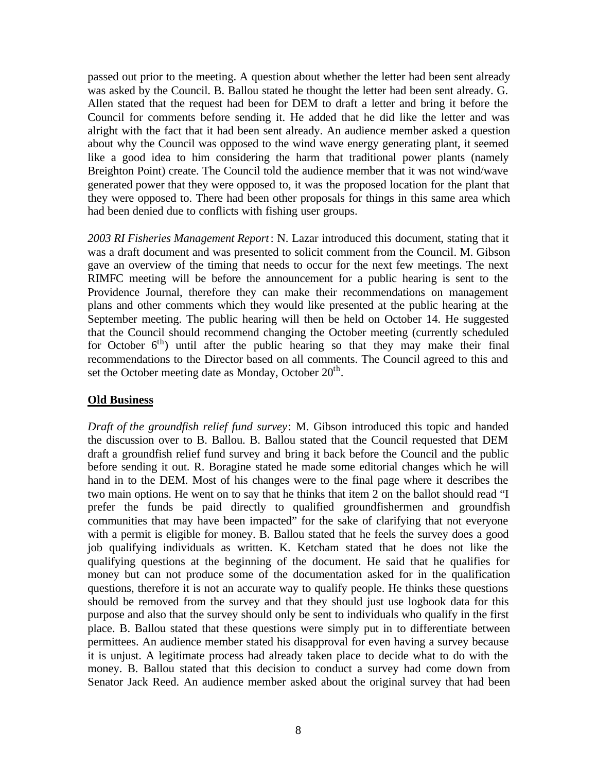passed out prior to the meeting. A question about whether the letter had been sent already was asked by the Council. B. Ballou stated he thought the letter had been sent already. G. Allen stated that the request had been for DEM to draft a letter and bring it before the Council for comments before sending it. He added that he did like the letter and was alright with the fact that it had been sent already. An audience member asked a question about why the Council was opposed to the wind wave energy generating plant, it seemed like a good idea to him considering the harm that traditional power plants (namely Breighton Point) create. The Council told the audience member that it was not wind/wave generated power that they were opposed to, it was the proposed location for the plant that they were opposed to. There had been other proposals for things in this same area which had been denied due to conflicts with fishing user groups.

*2003 RI Fisheries Management Report*: N. Lazar introduced this document, stating that it was a draft document and was presented to solicit comment from the Council. M. Gibson gave an overview of the timing that needs to occur for the next few meetings. The next RIMFC meeting will be before the announcement for a public hearing is sent to the Providence Journal, therefore they can make their recommendations on management plans and other comments which they would like presented at the public hearing at the September meeting. The public hearing will then be held on October 14. He suggested that the Council should recommend changing the October meeting (currently scheduled for October  $6<sup>th</sup>$ ) until after the public hearing so that they may make their final recommendations to the Director based on all comments. The Council agreed to this and set the October meeting date as Monday, October 20<sup>th</sup>.

## **Old Business**

*Draft of the groundfish relief fund survey*: M. Gibson introduced this topic and handed the discussion over to B. Ballou. B. Ballou stated that the Council requested that DEM draft a groundfish relief fund survey and bring it back before the Council and the public before sending it out. R. Boragine stated he made some editorial changes which he will hand in to the DEM. Most of his changes were to the final page where it describes the two main options. He went on to say that he thinks that item 2 on the ballot should read "I prefer the funds be paid directly to qualified groundfishermen and groundfish communities that may have been impacted" for the sake of clarifying that not everyone with a permit is eligible for money. B. Ballou stated that he feels the survey does a good job qualifying individuals as written. K. Ketcham stated that he does not like the qualifying questions at the beginning of the document. He said that he qualifies for money but can not produce some of the documentation asked for in the qualification questions, therefore it is not an accurate way to qualify people. He thinks these questions should be removed from the survey and that they should just use logbook data for this purpose and also that the survey should only be sent to individuals who qualify in the first place. B. Ballou stated that these questions were simply put in to differentiate between permittees. An audience member stated his disapproval for even having a survey because it is unjust. A legitimate process had already taken place to decide what to do with the money. B. Ballou stated that this decision to conduct a survey had come down from Senator Jack Reed. An audience member asked about the original survey that had been